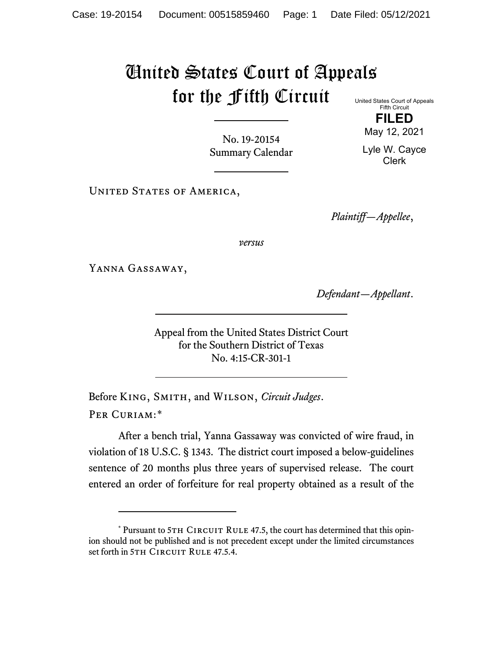# United States Court of Appeals for the Fifth Circuit United States Court of Appeals

Fifth Circuit **FILED**

May 12, 2021

Lyle W. Cayce Clerk

No. 19-20154 Summary Calendar

UNITED STATES OF AMERICA,

*Plaintiff—Appellee*,

*versus*

Yanna Gassaway,

*Defendant—Appellant*.

Appeal from the United States District Court for the Southern District of Texas No. 4:15-CR-301-1

Before King, Smith, and Wilson, *Circuit Judges*. Per Curiam:[\\*](#page-0-0)

After a bench trial, Yanna Gassaway was convicted of wire fraud, in violation of 18 U.S.C. § 1343. The district court imposed a below-guidelines sentence of 20 months plus three years of supervised release. The court entered an order of forfeiture for real property obtained as a result of the

<span id="page-0-0"></span> $*$  Pursuant to 5TH CIRCUIT RULE 47.5, the court has determined that this opinion should not be published and is not precedent except under the limited circumstances set forth in 5TH CIRCUIT RULE 47.5.4.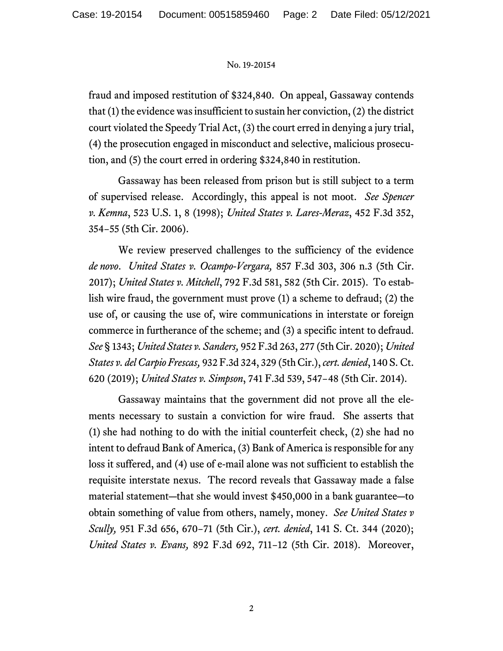fraud and imposed restitution of \$324,840. On appeal, Gassaway contends that (1) the evidence was insufficient to sustain her conviction, (2) the district court violated the Speedy Trial Act, (3) the court erred in denying a jury trial, (4) the prosecution engaged in misconduct and selective, malicious prosecution, and (5) the court erred in ordering \$324,840 in restitution.

Gassaway has been released from prison but is still subject to a term of supervised release. Accordingly, this appeal is not moot. *See Spencer v. Kemna*, 523 U.S. 1, 8 (1998); *United States v. Lares-Meraz*, 452 F.3d 352, 354−55 (5th Cir. 2006).

We review preserved challenges to the sufficiency of the evidence *de novo*. *United States v. Ocampo-Vergara,* 857 F.3d 303, 306 n.3 (5th Cir. 2017); *United States v. Mitchell*, 792 F.3d 581, 582 (5th Cir. 2015). To establish wire fraud, the government must prove (1) a scheme to defraud; (2) the use of, or causing the use of, wire communications in interstate or foreign commerce in furtherance of the scheme; and (3) a specific intent to defraud. *See* § 1343; *United States v. Sanders,* 952 F.3d 263, 277 (5th Cir. 2020); *United States v. del Carpio Frescas,* 932 F.3d 324, 329 (5th Cir.), *cert. denied*, 140 S. Ct. 620 (2019); *United States v. Simpson*, 741 F.3d 539, 547−48 (5th Cir. 2014).

Gassaway maintains that the government did not prove all the elements necessary to sustain a conviction for wire fraud. She asserts that (1) she had nothing to do with the initial counterfeit check, (2) she had no intent to defraud Bank of America, (3) Bank of America is responsible for any loss it suffered, and (4) use of e-mail alone was not sufficient to establish the requisite interstate nexus. The record reveals that Gassaway made a false material statement―that she would invest \$450,000 in a bank guarantee―to obtain something of value from others, namely, money. *See United States v Scully,* 951 F.3d 656, 670−71 (5th Cir.), *cert. denied*, 141 S. Ct. 344 (2020); *United States v. Evans,* 892 F.3d 692, 711−12 (5th Cir. 2018). Moreover,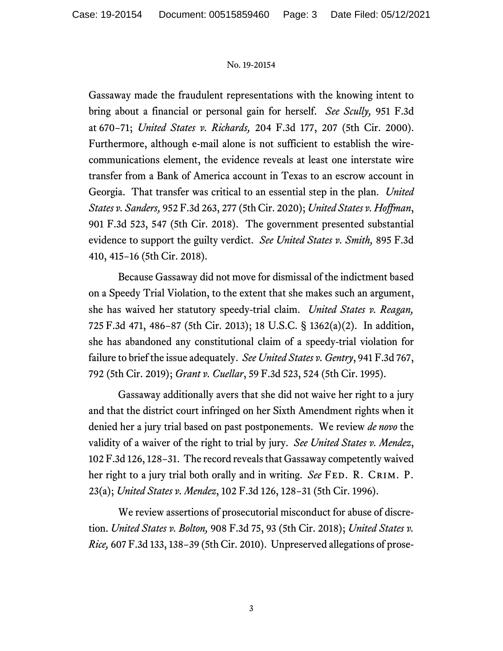Gassaway made the fraudulent representations with the knowing intent to bring about a financial or personal gain for herself. *See Scully,* 951 F.3d at 670−71; *United States v. Richards,* 204 F.3d 177, 207 (5th Cir. 2000). Furthermore, although e-mail alone is not sufficient to establish the wirecommunications element, the evidence reveals at least one interstate wire transfer from a Bank of America account in Texas to an escrow account in Georgia. That transfer was critical to an essential step in the plan. *United States v. Sanders,* 952 F.3d 263, 277 (5th Cir. 2020); *United States v. Hoffman*, 901 F.3d 523, 547 (5th Cir. 2018). The government presented substantial evidence to support the guilty verdict. *See United States v. Smith,* 895 F.3d 410, 415−16 (5th Cir. 2018).

Because Gassaway did not move for dismissal of the indictment based on a Speedy Trial Violation, to the extent that she makes such an argument, she has waived her statutory speedy-trial claim. *United States v. Reagan,*  725 F.3d 471, 486−87 (5th Cir. 2013); 18 U.S.C. § 1362(a)(2). In addition, she has abandoned any constitutional claim of a speedy-trial violation for failure to brief the issue adequately. *See United States v. Gentry*, 941 F.3d 767, 792 (5th Cir. 2019); *Grant v. Cuellar*, 59 F.3d 523, 524 (5th Cir. 1995).

Gassaway additionally avers that she did not waive her right to a jury and that the district court infringed on her Sixth Amendment rights when it denied her a jury trial based on past postponements. We review *de novo* the validity of a waiver of the right to trial by jury. *See United States v. Mendez*, 102 F.3d 126, 128−31. The record reveals that Gassaway competently waived her right to a jury trial both orally and in writing. *See* FED. R. CRIM. P. 23(a); *United States v. Mendez*, 102 F.3d 126, 128−31 (5th Cir. 1996).

We review assertions of prosecutorial misconduct for abuse of discretion. *United States v. Bolton,* 908 F.3d 75, 93 (5th Cir. 2018); *United States v. Rice,* 607 F.3d 133, 138−39 (5th Cir. 2010). Unpreserved allegations of prose-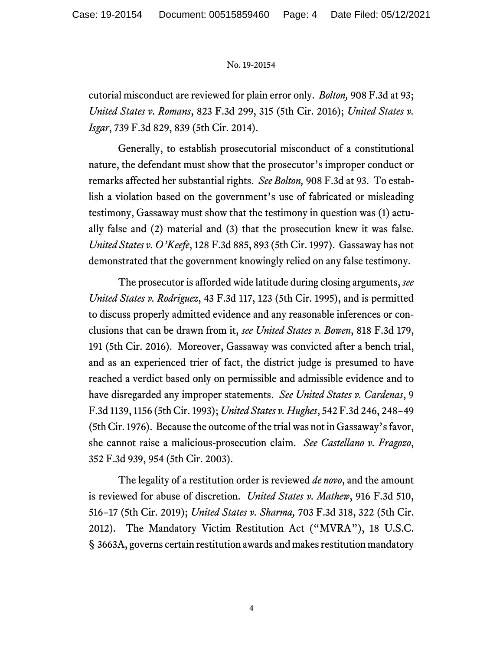cutorial misconduct are reviewed for plain error only. *Bolton,* 908 F.3d at 93; *United States v. Romans*, 823 F.3d 299, 315 (5th Cir. 2016); *United States v. Isgar*, 739 F.3d 829, 839 (5th Cir. 2014).

Generally, to establish prosecutorial misconduct of a constitutional nature, the defendant must show that the prosecutor's improper conduct or remarks affected her substantial rights. *See Bolton,* 908 F.3d at 93. To establish a violation based on the government's use of fabricated or misleading testimony, Gassaway must show that the testimony in question was (1) actually false and (2) material and (3) that the prosecution knew it was false. *United States v. O'Keefe*, 128 F.3d 885, 893 (5th Cir. 1997). Gassaway has not demonstrated that the government knowingly relied on any false testimony.

The prosecutor is afforded wide latitude during closing arguments, *see United States v. Rodriguez*, 43 F.3d 117, 123 (5th Cir. 1995), and is permitted to discuss properly admitted evidence and any reasonable inferences or conclusions that can be drawn from it, *see United States v. Bowen*, 818 F.3d 179, 191 (5th Cir. 2016). Moreover, Gassaway was convicted after a bench trial, and as an experienced trier of fact, the district judge is presumed to have reached a verdict based only on permissible and admissible evidence and to have disregarded any improper statements. *See United States v. Cardenas*, 9 F.3d 1139, 1156 (5th Cir. 1993); *United States v. Hughes*, 542 F.3d 246, 248−49 (5th Cir. 1976). Because the outcome of the trial was not in Gassaway's favor, she cannot raise a malicious-prosecution claim. *See Castellano v. Fragozo*, 352 F.3d 939, 954 (5th Cir. 2003).

The legality of a restitution order is reviewed *de novo*, and the amount is reviewed for abuse of discretion. *United States v. Mathew*, 916 F.3d 510, 516−17 (5th Cir. 2019); *United States v. Sharma,* 703 F.3d 318, 322 (5th Cir. 2012). The Mandatory Victim Restitution Act ("MVRA"), 18 U.S.C. § 3663A, governs certain restitution awards and makes restitution mandatory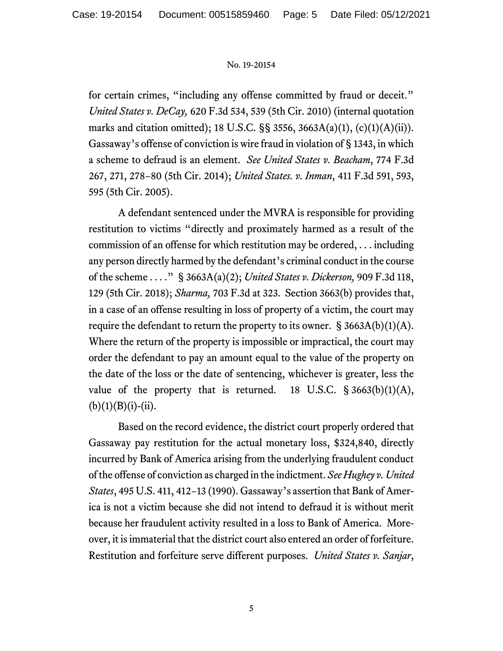for certain crimes, "including any offense committed by fraud or deceit." *United States v. DeCay,* 620 F.3d 534, 539 (5th Cir. 2010) (internal quotation marks and citation omitted); 18 U.S.C. §§ 3556, 3663A(a)(1), (c)(1)(A)(ii)). Gassaway's offense of conviction is wire fraud in violation of § 1343, in which a scheme to defraud is an element. *See United States v. Beacham*, 774 F.3d 267, 271, 278−80 (5th Cir. 2014); *United States. v. Inman*, 411 F.3d 591, 593, 595 (5th Cir. 2005).

A defendant sentenced under the MVRA is responsible for providing restitution to victims "directly and proximately harmed as a result of the commission of an offense for which restitution may be ordered, . . . including any person directly harmed by the defendant's criminal conduct in the course of the scheme . . . ." § 3663A(a)(2); *United States v. Dickerson,* 909 F.3d 118, 129 (5th Cir. 2018); *Sharma,* 703 F.3d at 323. Section 3663(b) provides that, in a case of an offense resulting in loss of property of a victim, the court may require the defendant to return the property to its owner.  $\S 3663A(b)(1)(A)$ . Where the return of the property is impossible or impractical, the court may order the defendant to pay an amount equal to the value of the property on the date of the loss or the date of sentencing, whichever is greater, less the value of the property that is returned. 18 U.S.C.  $\S 3663(b)(1)(A)$ ,  $(b)(1)(B)(i)-(ii).$ 

Based on the record evidence, the district court properly ordered that Gassaway pay restitution for the actual monetary loss, \$324,840, directly incurred by Bank of America arising from the underlying fraudulent conduct of the offense of conviction as charged in the indictment. *See Hughey v. United States*, 495 U.S. 411, 412−13 (1990). Gassaway's assertion that Bank of America is not a victim because she did not intend to defraud it is without merit because her fraudulent activity resulted in a loss to Bank of America. Moreover, it is immaterial that the district court also entered an order of forfeiture. Restitution and forfeiture serve different purposes. *United States v. Sanjar*,